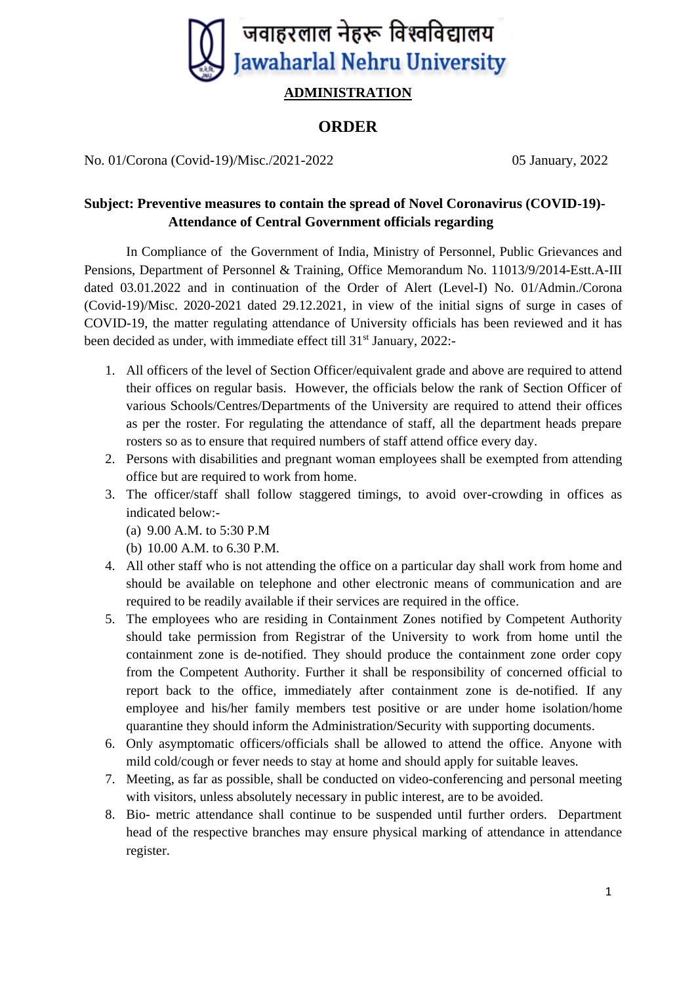

## **ADMINISTRATION**

## **ORDER**

No. 01/Corona (Covid-19)/Misc./2021-2022 05 January, 2022

## **Subject: Preventive measures to contain the spread of Novel Coronavirus (COVID-19)- Attendance of Central Government officials regarding**

In Compliance of the Government of India, Ministry of Personnel, Public Grievances and Pensions, Department of Personnel & Training, Office Memorandum No. 11013/9/2014-Estt.A-III dated 03.01.2022 and in continuation of the Order of Alert (Level-I) No. 01/Admin./Corona (Covid-19)/Misc. 2020-2021 dated 29.12.2021, in view of the initial signs of surge in cases of COVID-19, the matter regulating attendance of University officials has been reviewed and it has been decided as under, with immediate effect till 31<sup>st</sup> January, 2022:-

- 1. All officers of the level of Section Officer/equivalent grade and above are required to attend their offices on regular basis. However, the officials below the rank of Section Officer of various Schools/Centres/Departments of the University are required to attend their offices as per the roster. For regulating the attendance of staff, all the department heads prepare rosters so as to ensure that required numbers of staff attend office every day.
- 2. Persons with disabilities and pregnant woman employees shall be exempted from attending office but are required to work from home.
- 3. The officer/staff shall follow staggered timings, to avoid over-crowding in offices as indicated below:-
	- (a) 9.00 A.M. to 5:30 P.M
	- (b) 10.00 A.M. to 6.30 P.M.
- 4. All other staff who is not attending the office on a particular day shall work from home and should be available on telephone and other electronic means of communication and are required to be readily available if their services are required in the office.
- 5. The employees who are residing in Containment Zones notified by Competent Authority should take permission from Registrar of the University to work from home until the containment zone is de-notified. They should produce the containment zone order copy from the Competent Authority. Further it shall be responsibility of concerned official to report back to the office, immediately after containment zone is de-notified. If any employee and his/her family members test positive or are under home isolation/home quarantine they should inform the Administration/Security with supporting documents.
- 6. Only asymptomatic officers/officials shall be allowed to attend the office. Anyone with mild cold/cough or fever needs to stay at home and should apply for suitable leaves.
- 7. Meeting, as far as possible, shall be conducted on video-conferencing and personal meeting with visitors, unless absolutely necessary in public interest, are to be avoided.
- 8. Bio- metric attendance shall continue to be suspended until further orders. Department head of the respective branches may ensure physical marking of attendance in attendance register.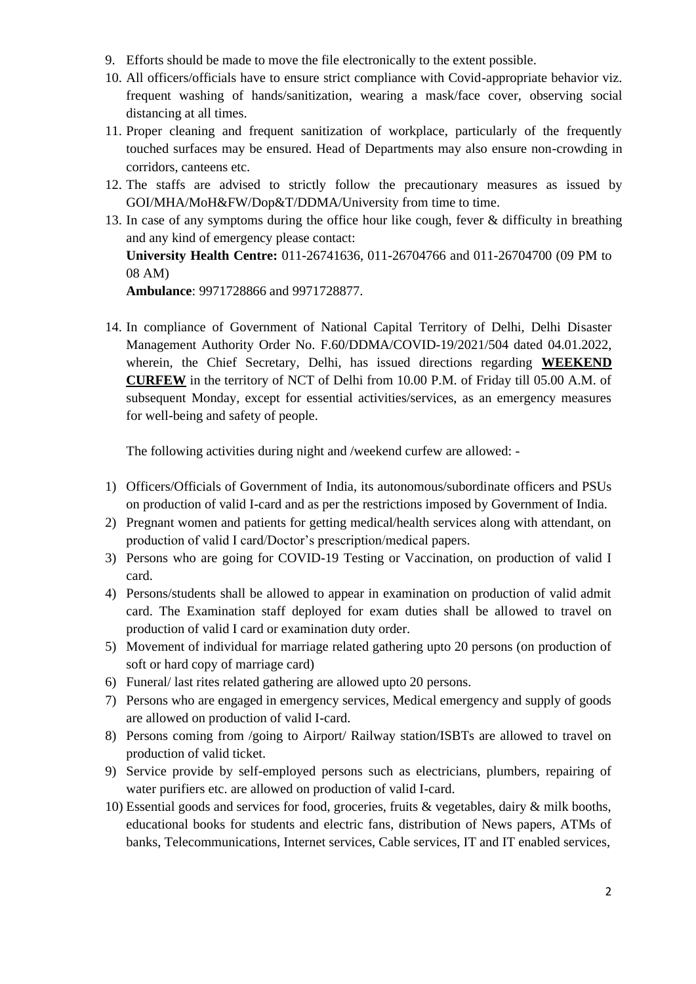- 9. Efforts should be made to move the file electronically to the extent possible.
- 10. All officers/officials have to ensure strict compliance with Covid-appropriate behavior viz. frequent washing of hands/sanitization, wearing a mask/face cover, observing social distancing at all times.
- 11. Proper cleaning and frequent sanitization of workplace, particularly of the frequently touched surfaces may be ensured. Head of Departments may also ensure non-crowding in corridors, canteens etc.
- 12. The staffs are advised to strictly follow the precautionary measures as issued by GOI/MHA/MoH&FW/Dop&T/DDMA/University from time to time.
- 13. In case of any symptoms during the office hour like cough, fever & difficulty in breathing and any kind of emergency please contact: **University Health Centre:** 011-26741636, 011-26704766 and 011-26704700 (09 PM to 08 AM) **Ambulance**: 9971728866 and 9971728877.
- 14. In compliance of Government of National Capital Territory of Delhi, Delhi Disaster Management Authority Order No. F.60/DDMA/COVID-19/2021/504 dated 04.01.2022, wherein, the Chief Secretary, Delhi, has issued directions regarding **WEEKEND CURFEW** in the territory of NCT of Delhi from 10.00 P.M. of Friday till 05.00 A.M. of subsequent Monday, except for essential activities/services, as an emergency measures for well-being and safety of people.

The following activities during night and /weekend curfew are allowed: -

- 1) Officers/Officials of Government of India, its autonomous/subordinate officers and PSUs on production of valid I-card and as per the restrictions imposed by Government of India.
- 2) Pregnant women and patients for getting medical/health services along with attendant, on production of valid I card/Doctor's prescription/medical papers.
- 3) Persons who are going for COVID-19 Testing or Vaccination, on production of valid I card.
- 4) Persons/students shall be allowed to appear in examination on production of valid admit card. The Examination staff deployed for exam duties shall be allowed to travel on production of valid I card or examination duty order.
- 5) Movement of individual for marriage related gathering upto 20 persons (on production of soft or hard copy of marriage card)
- 6) Funeral/ last rites related gathering are allowed upto 20 persons.
- 7) Persons who are engaged in emergency services, Medical emergency and supply of goods are allowed on production of valid I-card.
- 8) Persons coming from /going to Airport/ Railway station/ISBTs are allowed to travel on production of valid ticket.
- 9) Service provide by self-employed persons such as electricians, plumbers, repairing of water purifiers etc. are allowed on production of valid I-card.
- 10) Essential goods and services for food, groceries, fruits & vegetables, dairy & milk booths, educational books for students and electric fans, distribution of News papers, ATMs of banks, Telecommunications, Internet services, Cable services, IT and IT enabled services,